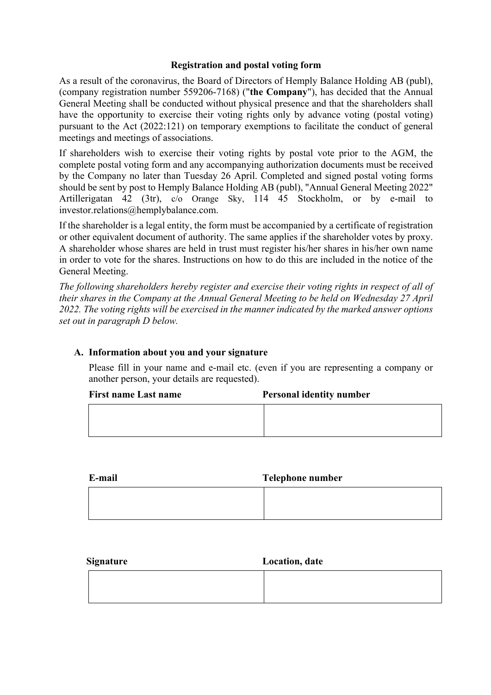### **Registration and postal voting form**

As a result of the coronavirus, the Board of Directors of Hemply Balance Holding AB (publ), (company registration number 559206-7168) ("**the Company**"), has decided that the Annual General Meeting shall be conducted without physical presence and that the shareholders shall have the opportunity to exercise their voting rights only by advance voting (postal voting) pursuant to the Act (2022:121) on temporary exemptions to facilitate the conduct of general meetings and meetings of associations.

If shareholders wish to exercise their voting rights by postal vote prior to the AGM, the complete postal voting form and any accompanying authorization documents must be received by the Company no later than Tuesday 26 April. Completed and signed postal voting forms should be sent by post to Hemply Balance Holding AB (publ), "Annual General Meeting 2022" Artillerigatan 42 (3tr), c/o Orange Sky, 114 45 Stockholm, or by e-mail to investor.relations@hemplybalance.com.

If the shareholder is a legal entity, the form must be accompanied by a certificate of registration or other equivalent document of authority. The same applies if the shareholder votes by proxy. A shareholder whose shares are held in trust must register his/her shares in his/her own name in order to vote for the shares. Instructions on how to do this are included in the notice of the General Meeting.

*The following shareholders hereby register and exercise their voting rights in respect of all of their shares in the Company at the Annual General Meeting to be held on Wednesday 27 April 2022. The voting rights will be exercised in the manner indicated by the marked answer options set out in paragraph D below.*

# **A. Information about you and your signature**

Please fill in your name and e-mail etc. (even if you are representing a company or another person, your details are requested).

| <b>First name Last name</b> | <b>Personal identity number</b> |  |
|-----------------------------|---------------------------------|--|
|                             |                                 |  |
|                             |                                 |  |
|                             |                                 |  |

 **E-mail Telephone number**

| <b>Signature</b> | Location, date |  |
|------------------|----------------|--|
|                  |                |  |
|                  |                |  |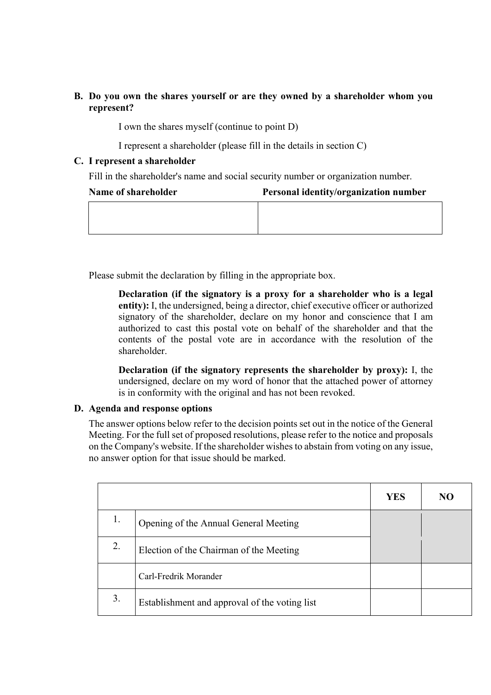# **B. Do you own the shares yourself or are they owned by a shareholder whom you represent?**

I own the shares myself (continue to point D)

I represent a shareholder (please fill in the details in section C)

### **C. I represent a shareholder**

Fill in the shareholder's name and social security number or organization number.

| Name of shareholder | Personal identity/organization number |  |
|---------------------|---------------------------------------|--|
|                     |                                       |  |
|                     |                                       |  |

Please submit the declaration by filling in the appropriate box.

 **Declaration (if the signatory is a proxy for a shareholder who is a legal entity):** I, the undersigned, being a director, chief executive officer or authorized signatory of the shareholder, declare on my honor and conscience that I am authorized to cast this postal vote on behalf of the shareholder and that the contents of the postal vote are in accordance with the resolution of the shareholder.

 **Declaration (if the signatory represents the shareholder by proxy):** I, the undersigned, declare on my word of honor that the attached power of attorney is in conformity with the original and has not been revoked.

# **D. Agenda and response options**

The answer options below refer to the decision points set out in the notice of the General Meeting. For the full set of proposed resolutions, please refer to the notice and proposals on the Company's website. If the shareholder wishes to abstain from voting on any issue, no answer option for that issue should be marked.

|    |                                               | <b>YES</b> | NO |
|----|-----------------------------------------------|------------|----|
| 1. | Opening of the Annual General Meeting         |            |    |
| 2. | Election of the Chairman of the Meeting       |            |    |
|    | Carl-Fredrik Morander                         |            |    |
| 3. | Establishment and approval of the voting list |            |    |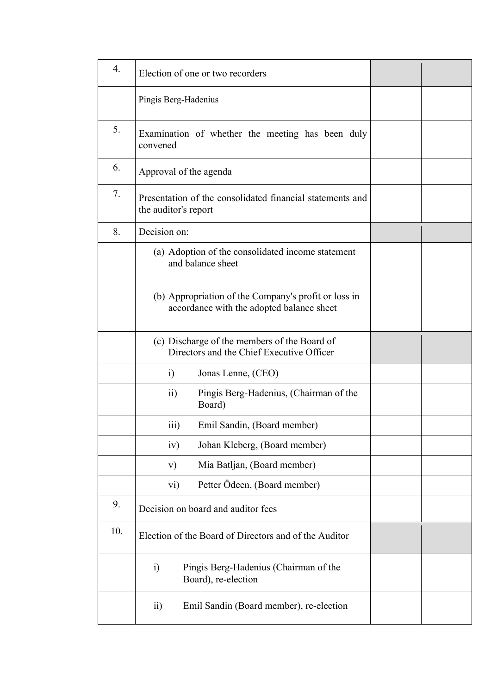| $\overline{4}$ . | Election of one or two recorders                                                                  |  |
|------------------|---------------------------------------------------------------------------------------------------|--|
|                  | Pingis Berg-Hadenius                                                                              |  |
| 5.               | Examination of whether the meeting has been duly<br>convened                                      |  |
| 6.               | Approval of the agenda                                                                            |  |
| 7.               | Presentation of the consolidated financial statements and<br>the auditor's report                 |  |
| 8.               | Decision on:                                                                                      |  |
|                  | (a) Adoption of the consolidated income statement<br>and balance sheet                            |  |
|                  | (b) Appropriation of the Company's profit or loss in<br>accordance with the adopted balance sheet |  |
|                  | (c) Discharge of the members of the Board of<br>Directors and the Chief Executive Officer         |  |
|                  | Jonas Lenne, (CEO)<br>$\ddot{1}$                                                                  |  |
|                  | Pingis Berg-Hadenius, (Chairman of the<br>$\overline{11}$<br>Board)                               |  |
|                  | $\overline{111}$<br>Emil Sandin, (Board member)                                                   |  |
|                  | iv)<br>Johan Kleberg, (Board member)                                                              |  |
|                  | Mia Batljan, (Board member)<br>V)                                                                 |  |
|                  | Petter Ödeen, (Board member)<br>vi)                                                               |  |
| 9.               | Decision on board and auditor fees                                                                |  |
| 10.              | Election of the Board of Directors and of the Auditor                                             |  |
|                  | Pingis Berg-Hadenius (Chairman of the<br>$\ddot{i}$<br>Board), re-election                        |  |
|                  | Emil Sandin (Board member), re-election<br>$\overline{11}$                                        |  |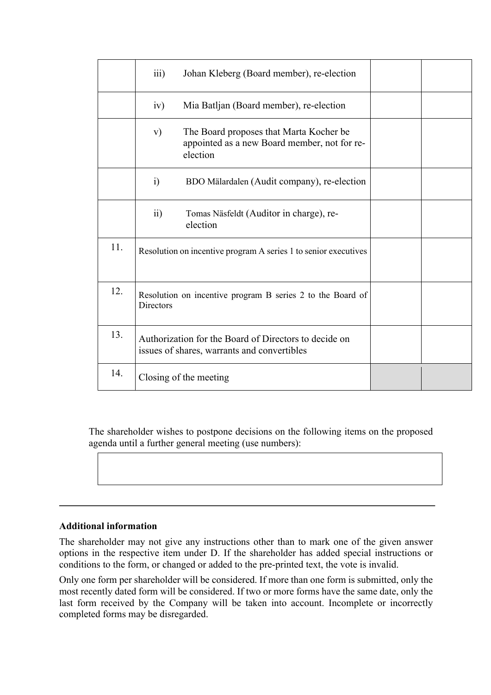|     | $\overline{\text{iii}}$<br>Johan Kleberg (Board member), re-election                                      |  |
|-----|-----------------------------------------------------------------------------------------------------------|--|
|     | Mia Batljan (Board member), re-election<br>iv)                                                            |  |
|     | The Board proposes that Marta Kocher be<br>V)<br>appointed as a new Board member, not for re-<br>election |  |
|     | i)<br>BDO Mälardalen (Audit company), re-election                                                         |  |
|     | Tomas Näsfeldt (Auditor in charge), re-<br>$\overline{11}$<br>election                                    |  |
| 11. | Resolution on incentive program A series 1 to senior executives                                           |  |
| 12. | Resolution on incentive program B series 2 to the Board of<br>Directors                                   |  |
| 13. | Authorization for the Board of Directors to decide on<br>issues of shares, warrants and convertibles      |  |
| 14. | Closing of the meeting                                                                                    |  |

The shareholder wishes to postpone decisions on the following items on the proposed agenda until a further general meeting (use numbers):

### **Additional information**

The shareholder may not give any instructions other than to mark one of the given answer options in the respective item under D. If the shareholder has added special instructions or conditions to the form, or changed or added to the pre-printed text, the vote is invalid.

Only one form per shareholder will be considered. If more than one form is submitted, only the most recently dated form will be considered. If two or more forms have the same date, only the last form received by the Company will be taken into account. Incomplete or incorrectly completed forms may be disregarded.